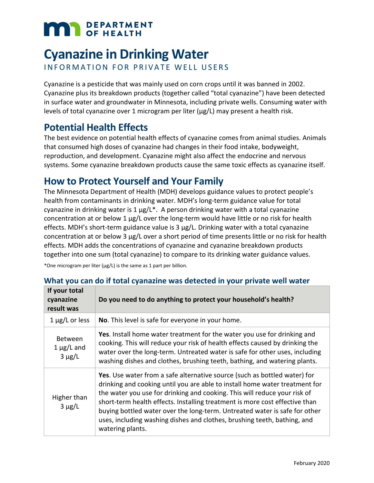# **MAN** DEPARTMENT

# **Cyanazine in Drinking Water**

INFORMATION FOR PRIVATE WELL USERS

Cyanazine is a pesticide that was mainly used on corn crops until it was banned in 2002. Cyanazine plus its breakdown products (together called "total cyanazine") have been detected in surface water and groundwater in Minnesota, including private wells. Consuming water with levels of total cyanazine over 1 microgram per liter  $(\mu g/L)$  may present a health risk.

# **Potential Health Effects**

The best evidence on potential health effects of cyanazine comes from animal studies. Animals that consumed high doses of cyanazine had changes in their food intake, bodyweight, reproduction, and development. Cyanazine might also affect the endocrine and nervous systems. Some cyanazine breakdown products cause the same toxic effects as cyanazine itself.

# **How to Protect Yourself and Your Family**

The Minnesota Department of Health (MDH) develops guidance values to protect people's health from contaminants in drinking water. MDH's long-term guidance value for total cyanazine in drinking water is  $1 \mu g/L^*$ . A person drinking water with a total cyanazine concentration at or below 1 µg/L over the long-term would have little or no risk for health effects. MDH's short-term guidance value is 3 µg/L. Drinking water with a total cyanazine concentration at or below 3 µg/L over a short period of time presents little or no risk for health effects. MDH adds the concentrations of cyanazine and cyanazine breakdown products together into one sum (total cyanazine) to compare to its drinking water guidance values.

\*One microgram per liter ( $\mu$ g/L) is the same as 1 part per billion.

| If your total<br>cyanazine<br>result was         | Do you need to do anything to protect your household's health?                                                                                                                                                                                                                                                                                                                                                                                                                                     |
|--------------------------------------------------|----------------------------------------------------------------------------------------------------------------------------------------------------------------------------------------------------------------------------------------------------------------------------------------------------------------------------------------------------------------------------------------------------------------------------------------------------------------------------------------------------|
| $1 \mu g/L$ or less                              | No. This level is safe for everyone in your home.                                                                                                                                                                                                                                                                                                                                                                                                                                                  |
| <b>Between</b><br>$1 \mu g/L$ and<br>$3 \mu g/L$ | Yes. Install home water treatment for the water you use for drinking and<br>cooking. This will reduce your risk of health effects caused by drinking the<br>water over the long-term. Untreated water is safe for other uses, including<br>washing dishes and clothes, brushing teeth, bathing, and watering plants.                                                                                                                                                                               |
| Higher than<br>$3 \mu g/L$                       | Yes. Use water from a safe alternative source (such as bottled water) for<br>drinking and cooking until you are able to install home water treatment for<br>the water you use for drinking and cooking. This will reduce your risk of<br>short-term health effects. Installing treatment is more cost effective than<br>buying bottled water over the long-term. Untreated water is safe for other<br>uses, including washing dishes and clothes, brushing teeth, bathing, and<br>watering plants. |

#### **What you can do if total cyanazine was detected in your private well water**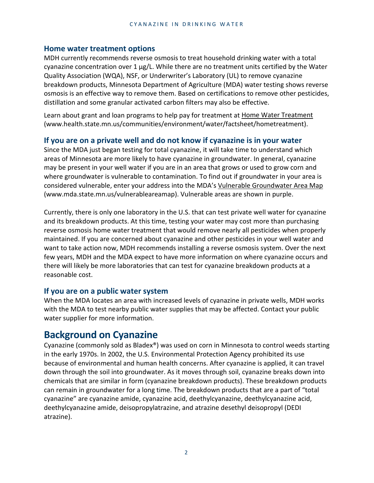#### **Home water treatment options**

MDH currently recommends reverse osmosis to treat household drinking water with a total cyanazine concentration over 1 µg/L. While there are no treatment units certified by the Water Quality Association (WQA), NSF, or Underwriter's Laboratory (UL) to remove cyanazine breakdown products, Minnesota Department of Agriculture (MDA) water testing shows reverse osmosis is an effective way to remove them. Based on certifications to remove other pesticides, distillation and some granular activated carbon filters may also be effective.

Learn about grant and loan programs to help pay for treatment at [Home Water Treatment](http://www.health.state.mn.us/communities/environment/water/factsheet/hometreatment)  [\(www.health.state.mn.us/communities/environment/water/factsheet/hometreatment\)](http://www.health.state.mn.us/communities/environment/water/factsheet/hometreatment).

#### **If you are on a private well and do not know if cyanazine is in your water**

Since the MDA just began testing for total cyanazine, it will take time to understand which areas of Minnesota are more likely to have cyanazine in groundwater. In general, cyanazine may be present in your well water if you are in an area that grows or used to grow corn and where groundwater is vulnerable to contamination. To find out if groundwater in your area is considered vulnerable, enter your address into the MDA's [Vulnerable Groundwater Area Map](http://www.mda.state.mn.us/vulnerableareamap)  [\(www.mda.state.mn.us/vulnerableareamap\).](http://www.mda.state.mn.us/vulnerableareamap) Vulnerable areas are shown in purple.

Currently, there is only one laboratory in the U.S. that can test private well water for cyanazine and its breakdown products. At this time, testing your water may cost more than purchasing reverse osmosis home water treatment that would remove nearly all pesticides when properly maintained. If you are concerned about cyanazine and other pesticides in your well water and want to take action now, MDH recommends installing a reverse osmosis system. Over the next few years, MDH and the MDA expect to have more information on where cyanazine occurs and there will likely be more laboratories that can test for cyanazine breakdown products at a reasonable cost.

#### **If you are on a public water system**

When the MDA locates an area with increased levels of cyanazine in private wells, MDH works with the MDA to test nearby public water supplies that may be affected. Contact your public water supplier for more information.

## **Background on Cyanazine**

Cyanazine (commonly sold as Bladex®) was used on corn in Minnesota to control weeds starting in the early 1970s. In 2002, the U.S. Environmental Protection Agency prohibited its use because of environmental and human health concerns. After cyanazine is applied, it can travel down through the soil into groundwater. As it moves through soil, cyanazine breaks down into chemicals that are similar in form (cyanazine breakdown products). These breakdown products can remain in groundwater for a long time. The breakdown products that are a part of "total cyanazine" are cyanazine amide, cyanazine acid, deethylcyanazine, deethylcyanazine acid, deethylcyanazine amide, deisopropylatrazine, and atrazine desethyl deisopropyl (DEDI atrazine).